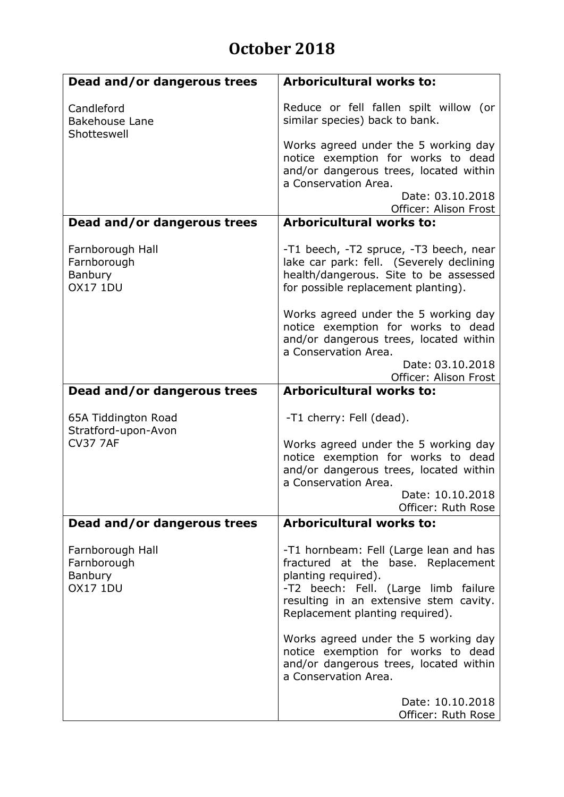## **October 2018**

| Dead and/or dangerous trees                                          | <b>Arboricultural works to:</b>                                                                                                                                                                                          |
|----------------------------------------------------------------------|--------------------------------------------------------------------------------------------------------------------------------------------------------------------------------------------------------------------------|
| Candleford<br><b>Bakehouse Lane</b><br>Shotteswell                   | Reduce or fell fallen spilt willow (or<br>similar species) back to bank.                                                                                                                                                 |
|                                                                      | Works agreed under the 5 working day<br>notice exemption for works to dead<br>and/or dangerous trees, located within<br>a Conservation Area.                                                                             |
|                                                                      | Date: 03.10.2018<br>Officer: Alison Frost                                                                                                                                                                                |
| Dead and/or dangerous trees                                          | <b>Arboricultural works to:</b>                                                                                                                                                                                          |
| Farnborough Hall<br>Farnborough<br><b>Banbury</b><br><b>OX17 1DU</b> | -T1 beech, -T2 spruce, -T3 beech, near<br>lake car park: fell. (Severely declining<br>health/dangerous. Site to be assessed<br>for possible replacement planting).                                                       |
|                                                                      | Works agreed under the 5 working day<br>notice exemption for works to dead<br>and/or dangerous trees, located within<br>a Conservation Area.<br>Date: 03.10.2018                                                         |
|                                                                      | Officer: Alison Frost                                                                                                                                                                                                    |
| Dead and/or dangerous trees                                          | <b>Arboricultural works to:</b>                                                                                                                                                                                          |
| 65A Tiddington Road<br>Stratford-upon-Avon                           | -T1 cherry: Fell (dead).                                                                                                                                                                                                 |
| <b>CV37 7AF</b>                                                      | Works agreed under the 5 working day<br>notice exemption for works to dead<br>and/or dangerous trees, located within<br>a Conservation Area.                                                                             |
|                                                                      | Date: 10.10.2018<br>Officer: Ruth Rose                                                                                                                                                                                   |
| Dead and/or dangerous trees                                          | <b>Arboricultural works to:</b>                                                                                                                                                                                          |
| Farnborough Hall<br>Farnborough<br><b>Banbury</b><br><b>OX17 1DU</b> | -T1 hornbeam: Fell (Large lean and has<br>fractured at the base. Replacement<br>planting required).<br>-T2 beech: Fell. (Large limb failure<br>resulting in an extensive stem cavity.<br>Replacement planting required). |
|                                                                      | Works agreed under the 5 working day<br>notice exemption for works to dead<br>and/or dangerous trees, located within<br>a Conservation Area.                                                                             |
|                                                                      | Date: 10.10.2018<br>Officer: Ruth Rose                                                                                                                                                                                   |